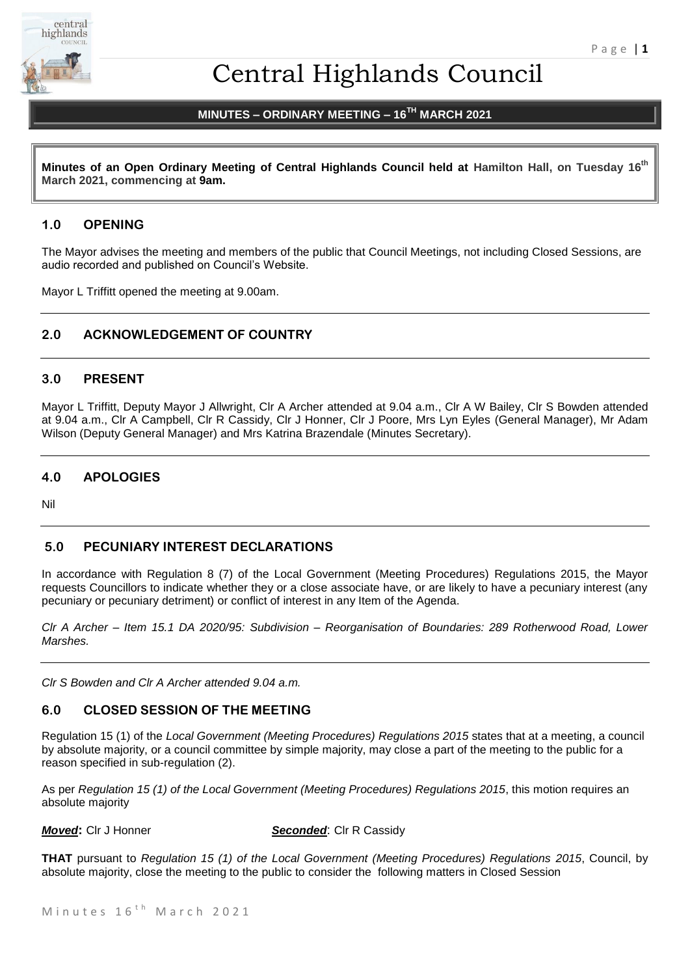

# Central Highlands Council

# **MINUTES – ORDINARY MEETING – 16 TH MARCH 2021**

**Minutes of an Open Ordinary Meeting of Central Highlands Council held at Hamilton Hall, on Tuesday 16 th March 2021, commencing at 9am.**

# **1.0 OPENING**

The Mayor advises the meeting and members of the public that Council Meetings, not including Closed Sessions, are audio recorded and published on Council's Website.

Mayor L Triffitt opened the meeting at 9.00am.

# **2.0 ACKNOWLEDGEMENT OF COUNTRY**

# **3.0 PRESENT**

Mayor L Triffitt, Deputy Mayor J Allwright, Clr A Archer attended at 9.04 a.m., Clr A W Bailey, Clr S Bowden attended at 9.04 a.m., Clr A Campbell, Clr R Cassidy, Clr J Honner, Clr J Poore, Mrs Lyn Eyles (General Manager), Mr Adam Wilson (Deputy General Manager) and Mrs Katrina Brazendale (Minutes Secretary).

# **4.0 APOLOGIES**

Nil

# **5.0 PECUNIARY INTEREST DECLARATIONS**

In accordance with Regulation 8 (7) of the Local Government (Meeting Procedures) Regulations 2015, the Mayor requests Councillors to indicate whether they or a close associate have, or are likely to have a pecuniary interest (any pecuniary or pecuniary detriment) or conflict of interest in any Item of the Agenda.

*Clr A Archer – Item 15.1 DA 2020/95: Subdivision – Reorganisation of Boundaries: 289 Rotherwood Road, Lower Marshes.*

*Clr S Bowden and Clr A Archer attended 9.04 a.m.*

# **6.0 CLOSED SESSION OF THE MEETING**

Regulation 15 (1) of the *Local Government (Meeting Procedures) Regulations 2015* states that at a meeting, a council by absolute majority, or a council committee by simple majority, may close a part of the meeting to the public for a reason specified in sub-regulation (2).

As per *Regulation 15 (1) of the Local Government (Meeting Procedures) Regulations 2015*, this motion requires an absolute majority

*Moved***: CIr J Honner <b>Seconded**: CIr R Cassidy

**THAT** pursuant to *Regulation 15 (1) of the Local Government (Meeting Procedures) Regulations 2015*, Council, by absolute majority, close the meeting to the public to consider the following matters in Closed Session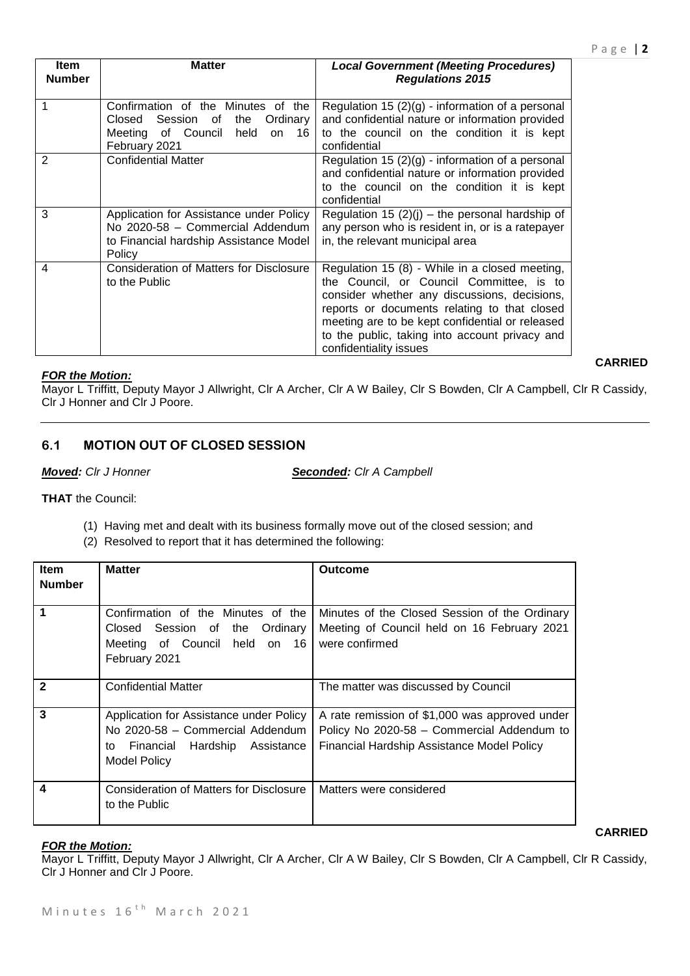*Regulations 2015*

**Matter** *Local Government (Meeting Procedures)* 

|               | .<br>or overfold flow on<br>February 2021                                                                                       | to the obtained on the contention it is nopt.<br>confidential                                                                                                                                                                                                                                                             |
|---------------|---------------------------------------------------------------------------------------------------------------------------------|---------------------------------------------------------------------------------------------------------------------------------------------------------------------------------------------------------------------------------------------------------------------------------------------------------------------------|
| $\mathcal{P}$ | <b>Confidential Matter</b>                                                                                                      | Regulation 15 $(2)(g)$ - information of a personal<br>and confidential nature or information provided<br>to the council on the condition it is kept<br>confidential                                                                                                                                                       |
| 3             | Application for Assistance under Policy<br>No 2020-58 - Commercial Addendum<br>to Financial hardship Assistance Model<br>Policy | Regulation 15 $(2)(j)$ – the personal hardship of<br>any person who is resident in, or is a ratepayer<br>in, the relevant municipal area                                                                                                                                                                                  |
| 4             | <b>Consideration of Matters for Disclosure</b><br>to the Public                                                                 | Regulation 15 (8) - While in a closed meeting,<br>the Council, or Council Committee, is to<br>consider whether any discussions, decisions,<br>reports or documents relating to that closed<br>meeting are to be kept confidential or released<br>to the public, taking into account privacy and<br>confidentiality issues |

# *FOR the Motion:*

**Item Number**

Mayor L Triffitt, Deputy Mayor J Allwright, Clr A Archer, Clr A W Bailey, Clr S Bowden, Clr A Campbell, Clr R Cassidy, Clr J Honner and Clr J Poore.

# **6.1 MOTION OUT OF CLOSED SESSION**

*Moved: Clr J Honner Seconded: Clr A Campbell*

**THAT** the Council:

- (1) Having met and dealt with its business formally move out of the closed session; and
- (2) Resolved to report that it has determined the following:

| <b>Item</b>   | <b>Matter</b>                                                                                                                             | <b>Outcome</b>                                                                                                                             |  |
|---------------|-------------------------------------------------------------------------------------------------------------------------------------------|--------------------------------------------------------------------------------------------------------------------------------------------|--|
| <b>Number</b> |                                                                                                                                           |                                                                                                                                            |  |
| 1             | Confirmation of the Minutes of the<br>Closed Session of the Ordinary<br>Meeting of Council held on 16<br>February 2021                    | Minutes of the Closed Session of the Ordinary<br>Meeting of Council held on 16 February 2021<br>were confirmed                             |  |
| $\mathbf{2}$  | <b>Confidential Matter</b>                                                                                                                | The matter was discussed by Council                                                                                                        |  |
| 3             | Application for Assistance under Policy<br>No 2020-58 - Commercial Addendum<br>Financial Hardship Assistance<br>to<br><b>Model Policy</b> | A rate remission of \$1,000 was approved under<br>Policy No 2020-58 - Commercial Addendum to<br>Financial Hardship Assistance Model Policy |  |
| 4             | Consideration of Matters for Disclosure<br>to the Public                                                                                  | Matters were considered                                                                                                                    |  |

# *FOR the Motion:*

Mayor L Triffitt, Deputy Mayor J Allwright, Clr A Archer, Clr A W Bailey, Clr S Bowden, Clr A Campbell, Clr R Cassidy, Clr J Honner and Clr J Poore.

**CARRIED**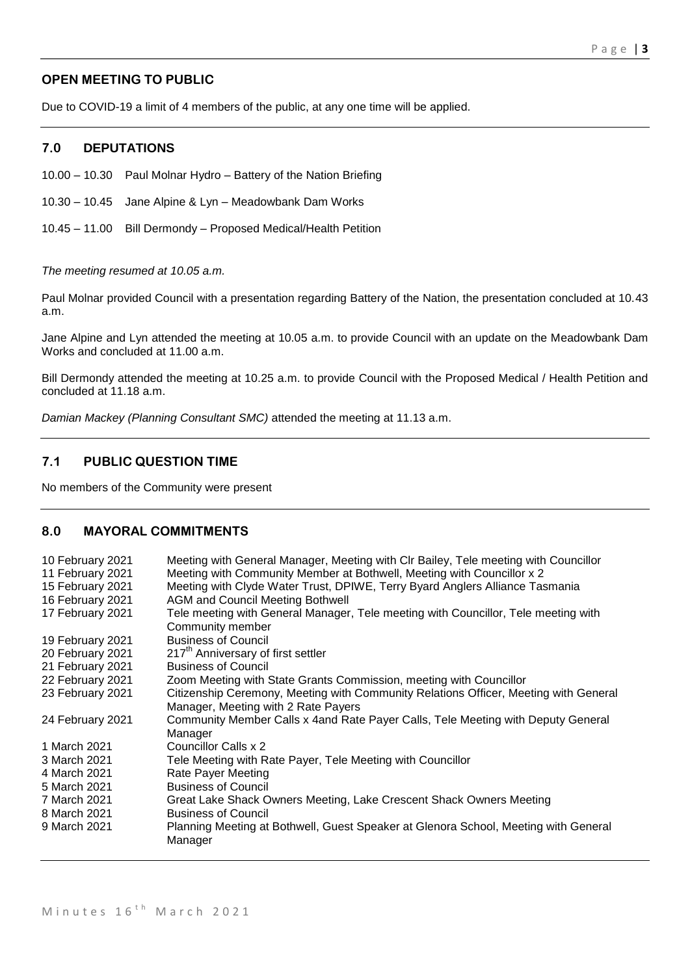# **OPEN MEETING TO PUBLIC**

Due to COVID-19 a limit of 4 members of the public, at any one time will be applied.

# **7.0 DEPUTATIONS**

10.00 – 10.30 Paul Molnar Hydro – Battery of the Nation Briefing

10.30 – 10.45 Jane Alpine & Lyn – Meadowbank Dam Works

10.45 – 11.00 Bill Dermondy – Proposed Medical/Health Petition

#### *The meeting resumed at 10.05 a.m.*

Paul Molnar provided Council with a presentation regarding Battery of the Nation, the presentation concluded at 10.43 a.m.

Jane Alpine and Lyn attended the meeting at 10.05 a.m. to provide Council with an update on the Meadowbank Dam Works and concluded at 11.00 a.m.

Bill Dermondy attended the meeting at 10.25 a.m. to provide Council with the Proposed Medical / Health Petition and concluded at 11.18 a.m.

*Damian Mackey (Planning Consultant SMC)* attended the meeting at 11.13 a.m.

# **7.1 PUBLIC QUESTION TIME**

No members of the Community were present

# **8.0 MAYORAL COMMITMENTS**

| 10 February 2021<br>11 February 2021<br>15 February 2021<br>16 February 2021<br>17 February 2021 | Meeting with General Manager, Meeting with CIr Bailey, Tele meeting with Councillor<br>Meeting with Community Member at Bothwell, Meeting with Councillor x 2<br>Meeting with Clyde Water Trust, DPIWE, Terry Byard Anglers Alliance Tasmania<br><b>AGM and Council Meeting Bothwell</b><br>Tele meeting with General Manager, Tele meeting with Councillor, Tele meeting with<br>Community member |
|--------------------------------------------------------------------------------------------------|----------------------------------------------------------------------------------------------------------------------------------------------------------------------------------------------------------------------------------------------------------------------------------------------------------------------------------------------------------------------------------------------------|
| 19 February 2021                                                                                 | <b>Business of Council</b>                                                                                                                                                                                                                                                                                                                                                                         |
| 20 February 2021                                                                                 | 217 <sup>th</sup> Anniversary of first settler                                                                                                                                                                                                                                                                                                                                                     |
| 21 February 2021                                                                                 | <b>Business of Council</b>                                                                                                                                                                                                                                                                                                                                                                         |
| 22 February 2021                                                                                 | Zoom Meeting with State Grants Commission, meeting with Councillor                                                                                                                                                                                                                                                                                                                                 |
| 23 February 2021                                                                                 | Citizenship Ceremony, Meeting with Community Relations Officer, Meeting with General<br>Manager, Meeting with 2 Rate Payers                                                                                                                                                                                                                                                                        |
| 24 February 2021                                                                                 | Community Member Calls x 4 and Rate Payer Calls, Tele Meeting with Deputy General<br>Manager                                                                                                                                                                                                                                                                                                       |
| 1 March 2021                                                                                     | Councillor Calls x 2                                                                                                                                                                                                                                                                                                                                                                               |
| 3 March 2021                                                                                     | Tele Meeting with Rate Payer, Tele Meeting with Councillor                                                                                                                                                                                                                                                                                                                                         |
| 4 March 2021                                                                                     | Rate Payer Meeting                                                                                                                                                                                                                                                                                                                                                                                 |
| 5 March 2021                                                                                     | <b>Business of Council</b>                                                                                                                                                                                                                                                                                                                                                                         |
| 7 March 2021                                                                                     | Great Lake Shack Owners Meeting, Lake Crescent Shack Owners Meeting                                                                                                                                                                                                                                                                                                                                |
| 8 March 2021                                                                                     | <b>Business of Council</b>                                                                                                                                                                                                                                                                                                                                                                         |
| 9 March 2021                                                                                     | Planning Meeting at Bothwell, Guest Speaker at Glenora School, Meeting with General<br>Manager                                                                                                                                                                                                                                                                                                     |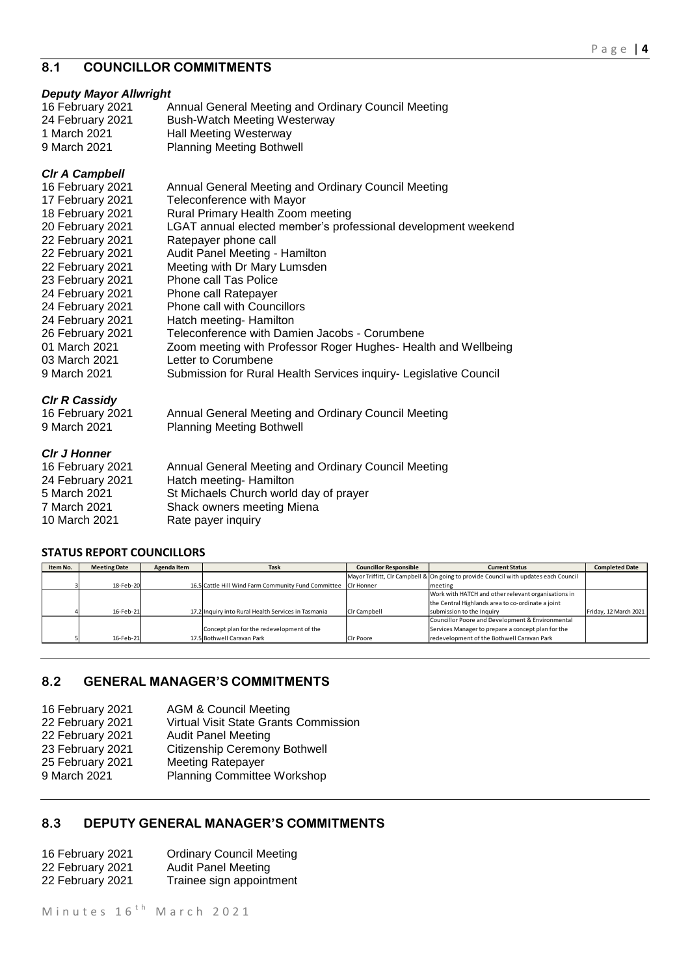# **8.1 COUNCILLOR COMMITMENTS**

# *Deputy Mayor Allwright*

| Annual General Meeting and Ordinary Council Meeting |
|-----------------------------------------------------|
| Bush-Watch Meeting Westerway                        |
| <b>Hall Meeting Westerway</b>                       |
| <b>Planning Meeting Bothwell</b>                    |
|                                                     |

# *Clr A Campbell*

| 16 February 2021     | Annual General Meeting and Ordinary Council Meeting               |
|----------------------|-------------------------------------------------------------------|
| 17 February 2021     | Teleconference with Mayor                                         |
| 18 February 2021     | Rural Primary Health Zoom meeting                                 |
| 20 February 2021     | LGAT annual elected member's professional development weekend     |
| 22 February 2021     | Ratepayer phone call                                              |
| 22 February 2021     | Audit Panel Meeting - Hamilton                                    |
| 22 February 2021     | Meeting with Dr Mary Lumsden                                      |
| 23 February 2021     | Phone call Tas Police                                             |
| 24 February 2021     | Phone call Ratepayer                                              |
| 24 February 2021     | Phone call with Councillors                                       |
| 24 February 2021     | Hatch meeting- Hamilton                                           |
| 26 February 2021     | Teleconference with Damien Jacobs - Corumbene                     |
| 01 March 2021        | Zoom meeting with Professor Roger Hughes- Health and Wellbeing    |
| 03 March 2021        | Letter to Corumbene                                               |
| 9 March 2021         | Submission for Rural Health Services inquiry- Legislative Council |
| <b>CIr R Cassidy</b> |                                                                   |
| 16 February 2021     | Annual General Meeting and Ordinary Council Meeting               |

9 March 2021 Planning Meeting Bothwell

# *Clr J Honner*

| 16 February 2021<br>24 February 2021 | Annual General Meeting and Ordinary Council Meeting<br>Hatch meeting- Hamilton |
|--------------------------------------|--------------------------------------------------------------------------------|
| 5 March 2021                         | St Michaels Church world day of prayer                                         |
| 7 March 2021                         | Shack owners meeting Miena                                                     |
| 10 March 2021                        | Rate payer inquiry                                                             |

# **STATUS REPORT COUNCILLORS**

| Item No. | <b>Meeting Date</b> | Agenda Item | Task                                                           | <b>Councillor Responsible</b> | <b>Current Status</b>                                                                | <b>Completed Date</b> |
|----------|---------------------|-------------|----------------------------------------------------------------|-------------------------------|--------------------------------------------------------------------------------------|-----------------------|
|          |                     |             |                                                                |                               | Mayor Triffitt, Clr Campbell & On going to provide Council with updates each Council |                       |
|          | 18-Feb-20           |             | 16.5 Cattle Hill Wind Farm Community Fund Committee CIr Honner |                               | meeting                                                                              |                       |
|          |                     |             |                                                                |                               | Work with HATCH and other relevant organisations in                                  |                       |
|          |                     |             |                                                                |                               | the Central Highlands area to co-ordinate a joint                                    |                       |
|          | 16-Feb-21           |             | 17.2 Inquiry into Rural Health Services in Tasmania            | Cir Campbell                  | submission to the Inquiry                                                            | Friday, 12 March 2021 |
|          |                     |             |                                                                |                               | Councillor Poore and Development & Environmental                                     |                       |
|          |                     |             | Concept plan for the redevelopment of the                      |                               | Services Manager to prepare a concept plan for the                                   |                       |
|          | 16-Feb-21           |             | 17.5 Bothwell Caravan Park                                     | Cir Poore                     | redevelopment of the Bothwell Caravan Park                                           |                       |

# **8.2 GENERAL MANAGER'S COMMITMENTS**

| 16 February 2021 | <b>AGM &amp; Council Meeting</b>      |
|------------------|---------------------------------------|
| 22 February 2021 | Virtual Visit State Grants Commission |
| 22 February 2021 | <b>Audit Panel Meeting</b>            |
| 23 February 2021 | <b>Citizenship Ceremony Bothwell</b>  |
| 25 February 2021 | <b>Meeting Ratepayer</b>              |
| 9 March 2021     | Planning Committee Workshop           |
|                  |                                       |

# **8.3 DEPUTY GENERAL MANAGER'S COMMITMENTS**

| 16 February 2021 | <b>Ordinary Council Meeting</b> |
|------------------|---------------------------------|
| 22 February 2021 | <b>Audit Panel Meeting</b>      |
| 22 February 2021 | Trainee sign appointment        |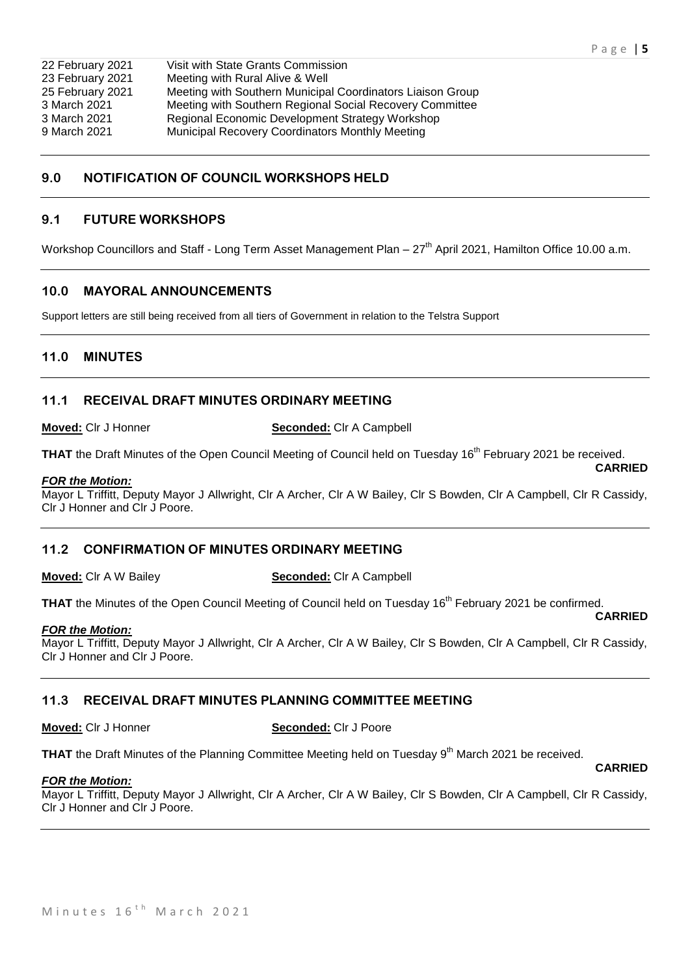**CARRIED**

| Visit with State Grants Commission                         |
|------------------------------------------------------------|
| Meeting with Rural Alive & Well                            |
| Meeting with Southern Municipal Coordinators Liaison Group |
| Meeting with Southern Regional Social Recovery Committee   |
| Regional Economic Development Strategy Workshop            |
| Municipal Recovery Coordinators Monthly Meeting            |
|                                                            |

# **9.0 NOTIFICATION OF COUNCIL WORKSHOPS HELD**

# **9.1 FUTURE WORKSHOPS**

Workshop Councillors and Staff - Long Term Asset Management Plan – 27<sup>th</sup> April 2021, Hamilton Office 10.00 a.m.

# **10.0 MAYORAL ANNOUNCEMENTS**

Support letters are still being received from all tiers of Government in relation to the Telstra Support

# **11.0 MINUTES**

# **11.1 RECEIVAL DRAFT MINUTES ORDINARY MEETING**

**Moved:** Clr J Honner **Seconded:** Clr A Campbell

THAT the Draft Minutes of the Open Council Meeting of Council held on Tuesday 16<sup>th</sup> February 2021 be received. **CARRIED**

#### *FOR the Motion:*

Mayor L Triffitt, Deputy Mayor J Allwright, Clr A Archer, Clr A W Bailey, Clr S Bowden, Clr A Campbell, Clr R Cassidy, Clr J Honner and Clr J Poore.

# **11.2 CONFIRMATION OF MINUTES ORDINARY MEETING**

**Moved:** Clr A W Bailey **Seconded:** Clr A Campbell

THAT the Minutes of the Open Council Meeting of Council held on Tuesday 16<sup>th</sup> February 2021 be confirmed. **CARRIED**

#### *FOR the Motion:*

Mayor L Triffitt, Deputy Mayor J Allwright, Clr A Archer, Clr A W Bailey, Clr S Bowden, Clr A Campbell, Clr R Cassidy, Clr J Honner and Clr J Poore.

# **11.3 RECEIVAL DRAFT MINUTES PLANNING COMMITTEE MEETING**

**Moved:** Clr J Honner **Seconded:** Clr J Poore

**THAT** the Draft Minutes of the Planning Committee Meeting held on Tuesday 9<sup>th</sup> March 2021 be received.

#### *FOR the Motion:*

Mayor L Triffitt, Deputy Mayor J Allwright, Clr A Archer, Clr A W Bailey, Clr S Bowden, Clr A Campbell, Clr R Cassidy, Clr J Honner and Clr J Poore.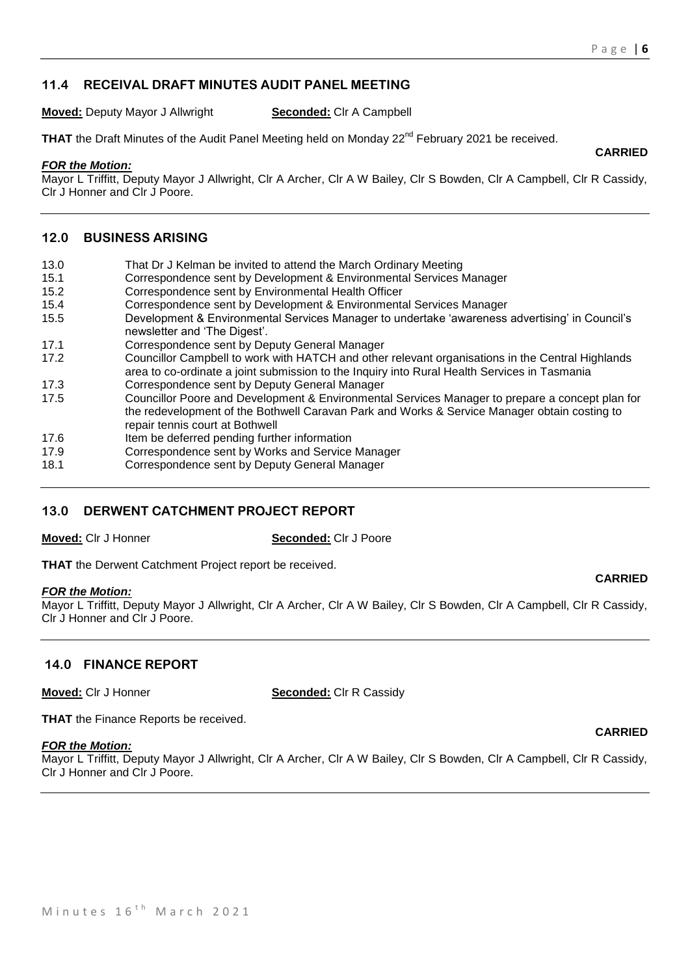**CARRIED**

# **11.4 RECEIVAL DRAFT MINUTES AUDIT PANEL MEETING**

**Moved:** Deputy Mayor J Allwright **Seconded:** Clr A Campbell

**THAT** the Draft Minutes of the Audit Panel Meeting held on Monday 22<sup>nd</sup> February 2021 be received.

#### *FOR the Motion:*

Mayor L Triffitt, Deputy Mayor J Allwright, Clr A Archer, Clr A W Bailey, Clr S Bowden, Clr A Campbell, Clr R Cassidy, Clr J Honner and Clr J Poore.

# **12.0 BUSINESS ARISING**

- 13.0 That Dr J Kelman be invited to attend the March Ordinary Meeting
- 15.1 Correspondence sent by Development & Environmental Services Manager
- 15.2 Correspondence sent by Environmental Health Officer
- 15.4 Correspondence sent by Development & Environmental Services Manager
- 15.5 Development & Environmental Services Manager to undertake 'awareness advertising' in Council's newsletter and 'The Digest'.
- 17.1 Correspondence sent by Deputy General Manager
- 17.2 Councillor Campbell to work with HATCH and other relevant organisations in the Central Highlands area to co-ordinate a joint submission to the Inquiry into Rural Health Services in Tasmania
- 17.3 Correspondence sent by Deputy General Manager
- 17.5 Councillor Poore and Development & Environmental Services Manager to prepare a concept plan for the redevelopment of the Bothwell Caravan Park and Works & Service Manager obtain costing to repair tennis court at Bothwell
- 17.6 Item be deferred pending further information
- 17.9 Correspondence sent by Works and Service Manager
- 18.1 Correspondence sent by Deputy General Manager

# **13.0 DERWENT CATCHMENT PROJECT REPORT**

**Moved:** Clr J Honner **Seconded:** Clr J Poore

**THAT** the Derwent Catchment Project report be received.

# *FOR the Motion:*

Mayor L Triffitt, Deputy Mayor J Allwright, Clr A Archer, Clr A W Bailey, Clr S Bowden, Clr A Campbell, Clr R Cassidy, Clr J Honner and Clr J Poore.

# **14.0 FINANCE REPORT**

**Moved:** Clr J Honner **Seconded:** Clr R Cassidy

**THAT** the Finance Reports be received.

#### *FOR the Motion:*

Mayor L Triffitt, Deputy Mayor J Allwright, Clr A Archer, Clr A W Bailey, Clr S Bowden, Clr A Campbell, Clr R Cassidy, Clr J Honner and Clr J Poore.

# **CARRIED**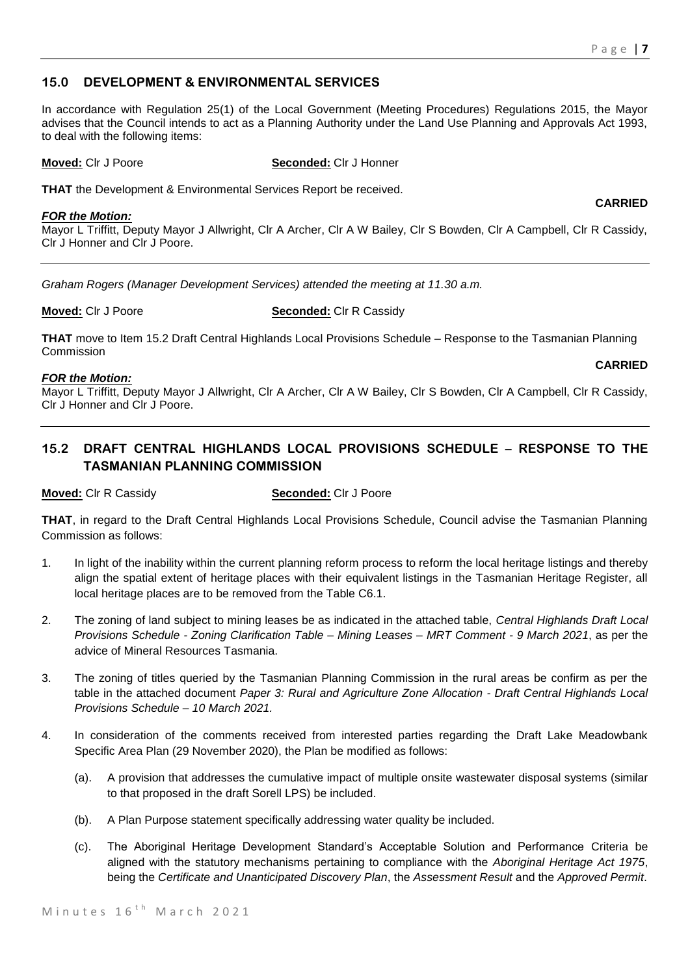# **15.0 DEVELOPMENT & ENVIRONMENTAL SERVICES**

In accordance with Regulation 25(1) of the Local Government (Meeting Procedures) Regulations 2015, the Mayor advises that the Council intends to act as a Planning Authority under the Land Use Planning and Approvals Act 1993, to deal with the following items:

**Moved:** Clr J Poore **Seconded:** Clr J Honner

**THAT** the Development & Environmental Services Report be received.

#### *FOR the Motion:*

Mayor L Triffitt, Deputy Mayor J Allwright, Clr A Archer, Clr A W Bailey, Clr S Bowden, Clr A Campbell, Clr R Cassidy, Clr J Honner and Clr J Poore.

*Graham Rogers (Manager Development Services) attended the meeting at 11.30 a.m.*

**Moved:** Clr J Poore **Seconded:** Clr R Cassidy

**THAT** move to Item 15.2 Draft Central Highlands Local Provisions Schedule – Response to the Tasmanian Planning Commission **CARRIED**

# *FOR the Motion:*

Mayor L Triffitt, Deputy Mayor J Allwright, Clr A Archer, Clr A W Bailey, Clr S Bowden, Clr A Campbell, Clr R Cassidy, Clr J Honner and Clr J Poore.

# **15.2 DRAFT CENTRAL HIGHLANDS LOCAL PROVISIONS SCHEDULE – RESPONSE TO THE TASMANIAN PLANNING COMMISSION**

**Moved:** Clr R Cassidy **Seconded:** Clr J Poore

**THAT**, in regard to the Draft Central Highlands Local Provisions Schedule, Council advise the Tasmanian Planning Commission as follows:

- 1. In light of the inability within the current planning reform process to reform the local heritage listings and thereby align the spatial extent of heritage places with their equivalent listings in the Tasmanian Heritage Register, all local heritage places are to be removed from the Table C6.1.
- 2. The zoning of land subject to mining leases be as indicated in the attached table, *Central Highlands Draft Local Provisions Schedule - Zoning Clarification Table – Mining Leases – MRT Comment - 9 March 2021*, as per the advice of Mineral Resources Tasmania.
- 3. The zoning of titles queried by the Tasmanian Planning Commission in the rural areas be confirm as per the table in the attached document *Paper 3: Rural and Agriculture Zone Allocation - Draft Central Highlands Local Provisions Schedule – 10 March 2021.*
- 4. In consideration of the comments received from interested parties regarding the Draft Lake Meadowbank Specific Area Plan (29 November 2020), the Plan be modified as follows:
	- (a). A provision that addresses the cumulative impact of multiple onsite wastewater disposal systems (similar to that proposed in the draft Sorell LPS) be included.
	- (b). A Plan Purpose statement specifically addressing water quality be included.
	- (c). The Aboriginal Heritage Development Standard's Acceptable Solution and Performance Criteria be aligned with the statutory mechanisms pertaining to compliance with the *Aboriginal Heritage Act 1975*, being the *Certificate and Unanticipated Discovery Plan*, the *Assessment Result* and the *Approved Permit*.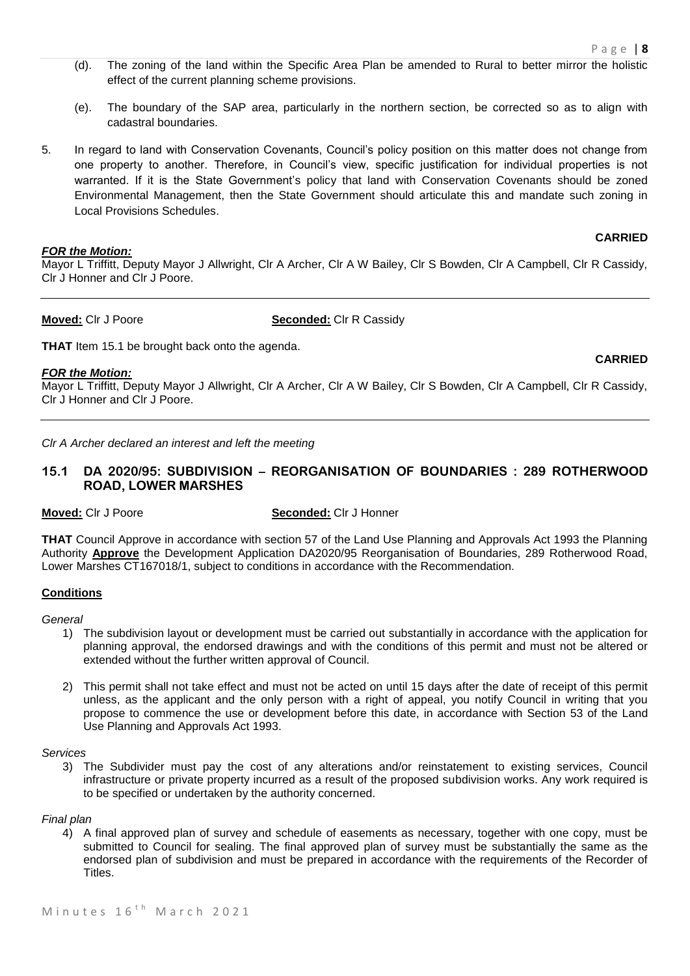- (d). The zoning of the land within the Specific Area Plan be amended to Rural to better mirror the holistic effect of the current planning scheme provisions.
- (e). The boundary of the SAP area, particularly in the northern section, be corrected so as to align with cadastral boundaries.
- 5. In regard to land with Conservation Covenants, Council's policy position on this matter does not change from one property to another. Therefore, in Council's view, specific justification for individual properties is not warranted. If it is the State Government's policy that land with Conservation Covenants should be zoned Environmental Management, then the State Government should articulate this and mandate such zoning in Local Provisions Schedules.

#### *FOR the Motion:*

#### **CARRIED**

**CARRIED**

Mayor L Triffitt, Deputy Mayor J Allwright, Clr A Archer, Clr A W Bailey, Clr S Bowden, Clr A Campbell, Clr R Cassidy, Clr J Honner and Clr J Poore.

**Moved:** Clr J Poore **Seconded:** Clr R Cassidy

**THAT** Item 15.1 be brought back onto the agenda.

#### *FOR the Motion:*

Mayor L Triffitt, Deputy Mayor J Allwright, Clr A Archer, Clr A W Bailey, Clr S Bowden, Clr A Campbell, Clr R Cassidy, Clr J Honner and Clr J Poore.

*Clr A Archer declared an interest and left the meeting*

# **15.1 DA 2020/95: SUBDIVISION – REORGANISATION OF BOUNDARIES : 289 ROTHERWOOD ROAD, LOWER MARSHES**

**Moved:** Clr J Poore **Seconded:** Clr J Honner

**THAT** Council Approve in accordance with section 57 of the Land Use Planning and Approvals Act 1993 the Planning Authority **Approve** the Development Application DA2020/95 Reorganisation of Boundaries, 289 Rotherwood Road, Lower Marshes CT167018/1, subject to conditions in accordance with the Recommendation.

# **Conditions**

#### *General*

- 1) The subdivision layout or development must be carried out substantially in accordance with the application for planning approval, the endorsed drawings and with the conditions of this permit and must not be altered or extended without the further written approval of Council.
- 2) This permit shall not take effect and must not be acted on until 15 days after the date of receipt of this permit unless, as the applicant and the only person with a right of appeal, you notify Council in writing that you propose to commence the use or development before this date, in accordance with Section 53 of the Land Use Planning and Approvals Act 1993.

*Services*

3) The Subdivider must pay the cost of any alterations and/or reinstatement to existing services, Council infrastructure or private property incurred as a result of the proposed subdivision works. Any work required is to be specified or undertaken by the authority concerned.

#### *Final plan*

4) A final approved plan of survey and schedule of easements as necessary, together with one copy, must be submitted to Council for sealing. The final approved plan of survey must be substantially the same as the endorsed plan of subdivision and must be prepared in accordance with the requirements of the Recorder of **Titles**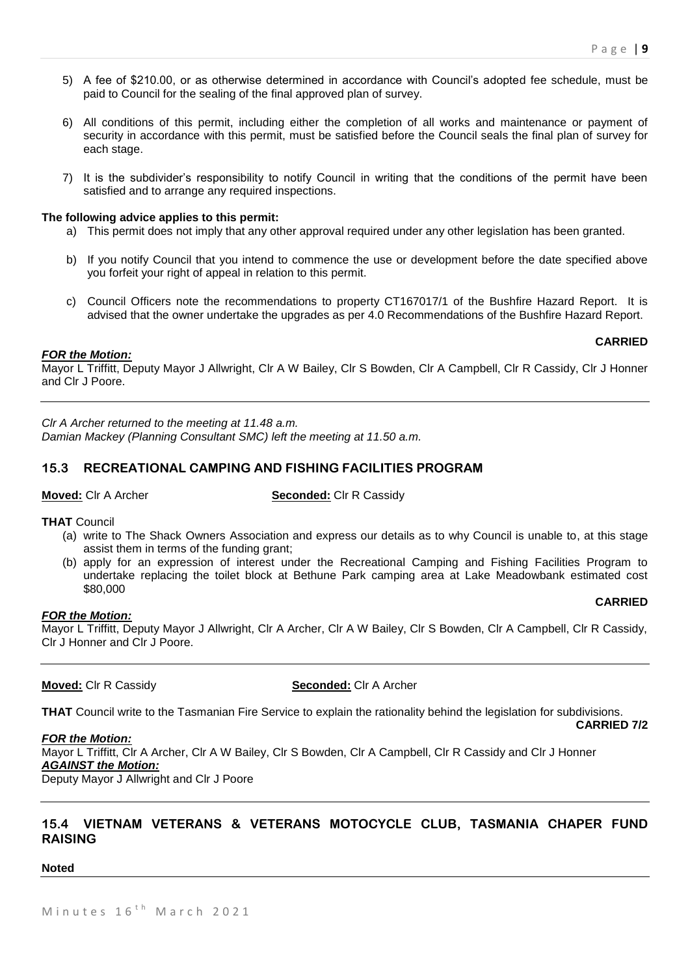- 5) A fee of \$210.00, or as otherwise determined in accordance with Council's adopted fee schedule, must be paid to Council for the sealing of the final approved plan of survey.
- 6) All conditions of this permit, including either the completion of all works and maintenance or payment of security in accordance with this permit, must be satisfied before the Council seals the final plan of survey for each stage.
- 7) It is the subdivider's responsibility to notify Council in writing that the conditions of the permit have been satisfied and to arrange any required inspections.

#### **The following advice applies to this permit:**

- a) This permit does not imply that any other approval required under any other legislation has been granted.
- b) If you notify Council that you intend to commence the use or development before the date specified above you forfeit your right of appeal in relation to this permit.
- c) Council Officers note the recommendations to property CT167017/1 of the Bushfire Hazard Report. It is advised that the owner undertake the upgrades as per 4.0 Recommendations of the Bushfire Hazard Report.

#### **CARRIED**

#### *FOR the Motion:*

Mayor L Triffitt, Deputy Mayor J Allwright, Clr A W Bailey, Clr S Bowden, Clr A Campbell, Clr R Cassidy, Clr J Honner and Clr J Poore.

*Clr A Archer returned to the meeting at 11.48 a.m. Damian Mackey (Planning Consultant SMC) left the meeting at 11.50 a.m.*

# **15.3 RECREATIONAL CAMPING AND FISHING FACILITIES PROGRAM**

**Moved:** Clr A Archer **Seconded:** Clr R Cassidy

**THAT** Council

- (a) write to The Shack Owners Association and express our details as to why Council is unable to, at this stage assist them in terms of the funding grant;
- (b) apply for an expression of interest under the Recreational Camping and Fishing Facilities Program to undertake replacing the toilet block at Bethune Park camping area at Lake Meadowbank estimated cost \$80,000

#### **CARRIED**

# *FOR the Motion:*

Mayor L Triffitt, Deputy Mayor J Allwright, Clr A Archer, Clr A W Bailey, Clr S Bowden, Clr A Campbell, Clr R Cassidy, Clr J Honner and Clr J Poore.

# **Moved:** Clr R Cassidy **Seconded:** Clr A Archer

**THAT** Council write to the Tasmanian Fire Service to explain the rationality behind the legislation for subdivisions.

**CARRIED 7/2**

# *FOR the Motion:*

Mayor L Triffitt, Clr A Archer, Clr A W Bailey, Clr S Bowden, Clr A Campbell, Clr R Cassidy and Clr J Honner *AGAINST the Motion:*

Deputy Mayor J Allwright and Clr J Poore

# **15.4 VIETNAM VETERANS & VETERANS MOTOCYCLE CLUB, TASMANIA CHAPER FUND RAISING**

#### **Noted**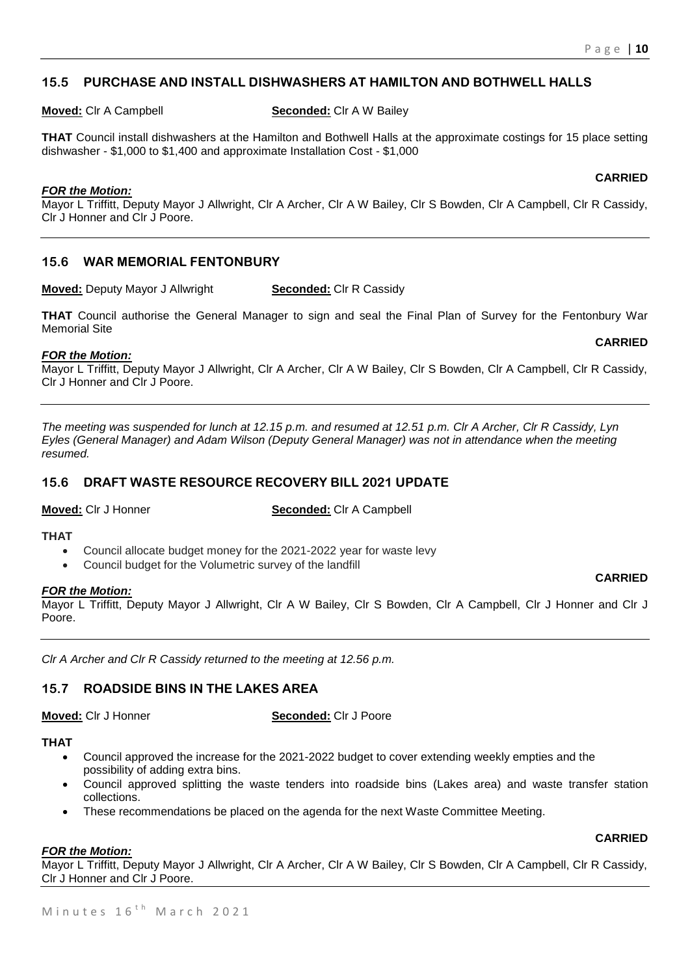# **15.5 PURCHASE AND INSTALL DISHWASHERS AT HAMILTON AND BOTHWELL HALLS**

**Moved:** Clr A Campbell **Seconded:** Clr A W Bailey

**THAT** Council install dishwashers at the Hamilton and Bothwell Halls at the approximate costings for 15 place setting dishwasher - \$1,000 to \$1,400 and approximate Installation Cost - \$1,000

# *FOR the Motion:*

Mayor L Triffitt, Deputy Mayor J Allwright, Clr A Archer, Clr A W Bailey, Clr S Bowden, Clr A Campbell, Clr R Cassidy, Clr J Honner and Clr J Poore.

# **15.6 WAR MEMORIAL FENTONBURY**

**Moved:** Deputy Mayor J Allwright **Seconded:** Clr R Cassidy

**THAT** Council authorise the General Manager to sign and seal the Final Plan of Survey for the Fentonbury War Memorial Site

#### *FOR the Motion:*

Mayor L Triffitt, Deputy Mayor J Allwright, Clr A Archer, Clr A W Bailey, Clr S Bowden, Clr A Campbell, Clr R Cassidy, Clr J Honner and Clr J Poore.

*The meeting was suspended for lunch at 12.15 p.m. and resumed at 12.51 p.m. Clr A Archer, Clr R Cassidy, Lyn Eyles (General Manager) and Adam Wilson (Deputy General Manager) was not in attendance when the meeting resumed.*

# **15.6 DRAFT WASTE RESOURCE RECOVERY BILL 2021 UPDATE**

**Moved:** Cir J Honner **Seconded:** Cir A Campbell

#### **THAT**

- Council allocate budget money for the 2021-2022 year for waste levy
- Council budget for the Volumetric survey of the landfill

# *FOR the Motion:*

Mayor L Triffitt, Deputy Mayor J Allwright, Clr A W Bailey, Clr S Bowden, Clr A Campbell, Clr J Honner and Clr J Poore.

*Clr A Archer and Clr R Cassidy returned to the meeting at 12.56 p.m.*

# **15.7 ROADSIDE BINS IN THE LAKES AREA**

**Moved:** Clr J Honner **Seconded:** Clr J Poore

#### **THAT**

- Council approved the increase for the 2021-2022 budget to cover extending weekly empties and the possibility of adding extra bins.
- Council approved splitting the waste tenders into roadside bins (Lakes area) and waste transfer station collections.
- These recommendations be placed on the agenda for the next Waste Committee Meeting.

# *FOR the Motion:*

Mayor L Triffitt, Deputy Mayor J Allwright, Clr A Archer, Clr A W Bailey, Clr S Bowden, Clr A Campbell, Clr R Cassidy, Clr J Honner and Clr J Poore.

# **CARRIED**

**CARRIED**

#### **CARRIED**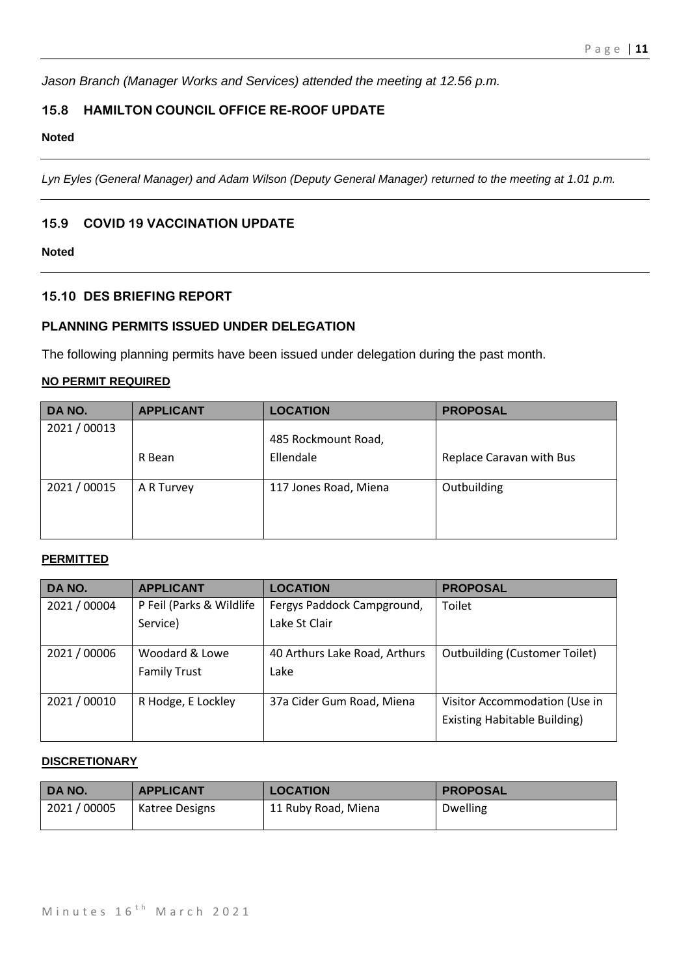*Jason Branch (Manager Works and Services) attended the meeting at 12.56 p.m.*

# **15.8 HAMILTON COUNCIL OFFICE RE-ROOF UPDATE**

#### **Noted**

*Lyn Eyles (General Manager) and Adam Wilson (Deputy General Manager) returned to the meeting at 1.01 p.m.*

# **15.9 COVID 19 VACCINATION UPDATE**

# **Noted**

# **15.10 DES BRIEFING REPORT**

# **PLANNING PERMITS ISSUED UNDER DELEGATION**

The following planning permits have been issued under delegation during the past month.

# **NO PERMIT REQUIRED**

| DA NO.     | <b>APPLICANT</b> | <b>LOCATION</b>                  | <b>PROPOSAL</b>          |
|------------|------------------|----------------------------------|--------------------------|
| 2021/00013 | R Bean           | 485 Rockmount Road,<br>Ellendale | Replace Caravan with Bus |
| 2021/00015 | A R Turvey       | 117 Jones Road, Miena            | Outbuilding              |

# **PERMITTED**

| DA NO.       | <b>APPLICANT</b>         | <b>LOCATION</b>               | <b>PROPOSAL</b>                      |
|--------------|--------------------------|-------------------------------|--------------------------------------|
| 2021 / 00004 | P Feil (Parks & Wildlife | Fergys Paddock Campground,    | Toilet                               |
|              | Service)                 | Lake St Clair                 |                                      |
| 2021/00006   | Woodard & Lowe           | 40 Arthurs Lake Road, Arthurs | <b>Outbuilding (Customer Toilet)</b> |
|              | <b>Family Trust</b>      | Lake                          |                                      |
| 2021 / 00010 | R Hodge, E Lockley       | 37a Cider Gum Road, Miena     | Visitor Accommodation (Use in        |
|              |                          |                               | <b>Existing Habitable Building)</b>  |

# **DISCRETIONARY**

| DA NO.     | <b>APPLICANT</b> | <b>LOCATION</b>     | <b>PROPOSAL</b> |
|------------|------------------|---------------------|-----------------|
| 2021/00005 | Katree Designs   | 11 Ruby Road, Miena | <b>Dwelling</b> |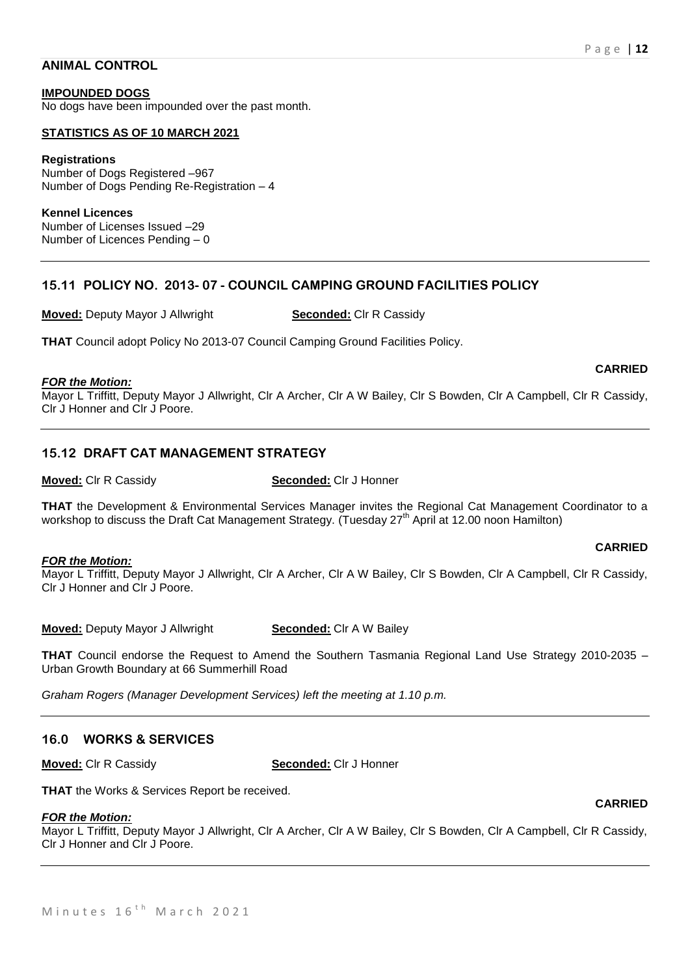#### **ANIMAL CONTROL**

**IMPOUNDED DOGS** No dogs have been impounded over the past month.

#### **STATISTICS AS OF 10 MARCH 2021**

**Registrations** Number of Dogs Registered –967 Number of Dogs Pending Re-Registration – 4

**Kennel Licences** Number of Licenses Issued –29 Number of Licences Pending – 0

# **15.11 POLICY NO. 2013- 07 - COUNCIL CAMPING GROUND FACILITIES POLICY**

**Moved:** Deputy Mayor J Allwright **Seconded:** Clr R Cassidy

**THAT** Council adopt Policy No 2013-07 Council Camping Ground Facilities Policy.

#### *FOR the Motion:*

Mayor L Triffitt, Deputy Mayor J Allwright, Clr A Archer, Clr A W Bailey, Clr S Bowden, Clr A Campbell, Clr R Cassidy, Clr J Honner and Clr J Poore.

# **15.12 DRAFT CAT MANAGEMENT STRATEGY**

#### **Moved:** Clr R Cassidy **Seconded:** Clr J Honner

**THAT** the Development & Environmental Services Manager invites the Regional Cat Management Coordinator to a workshop to discuss the Draft Cat Management Strategy. (Tuesday 27<sup>th</sup> April at 12.00 noon Hamilton)

#### *FOR the Motion:*

Mayor L Triffitt, Deputy Mayor J Allwright, Clr A Archer, Clr A W Bailey, Clr S Bowden, Clr A Campbell, Clr R Cassidy, Clr J Honner and Clr J Poore.

**Moved:** Deputy Mayor J Allwright **Seconded:** Clr A W Bailey

**THAT** Council endorse the Request to Amend the Southern Tasmania Regional Land Use Strategy 2010-2035 – Urban Growth Boundary at 66 Summerhill Road

*Graham Rogers (Manager Development Services) left the meeting at 1.10 p.m.*

# **16.0 WORKS & SERVICES**

**Moved:** Clr R Cassidy **Seconded:** Clr J Honner

**THAT** the Works & Services Report be received.

#### *FOR the Motion:*

Mayor L Triffitt, Deputy Mayor J Allwright, Clr A Archer, Clr A W Bailey, Clr S Bowden, Clr A Campbell, Clr R Cassidy, Clr J Honner and Clr J Poore.

**CARRIED**

**CARRIED**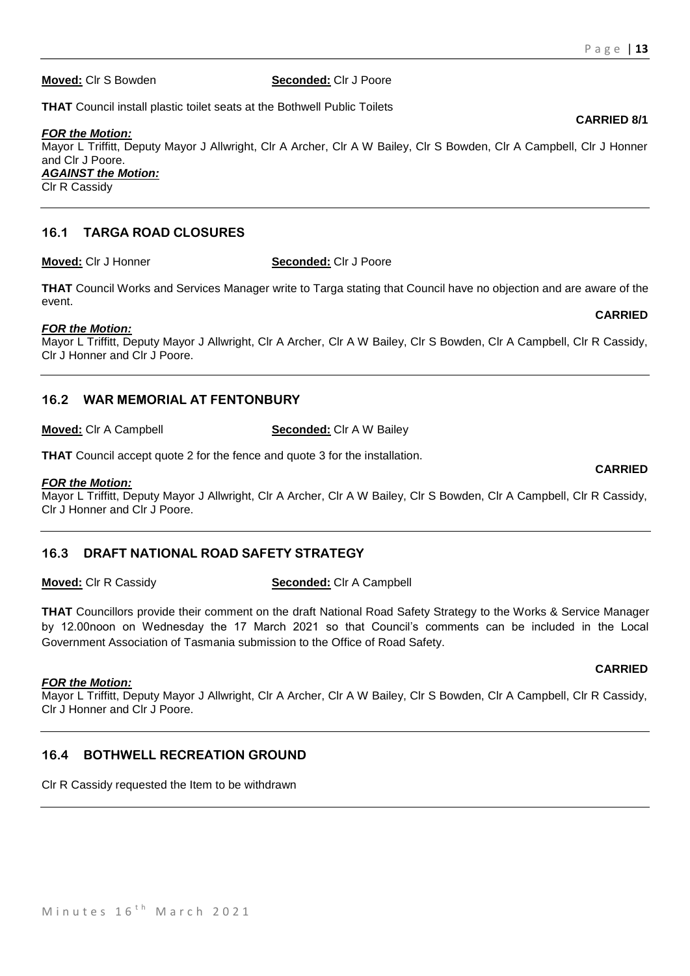**Moved:** Clr S Bowden **Seconded:** Clr J Poore

**THAT** Council install plastic toilet seats at the Bothwell Public Toilets

*FOR the Motion:*

Mayor L Triffitt, Deputy Mayor J Allwright, Clr A Archer, Clr A W Bailey, Clr S Bowden, Clr A Campbell, Clr J Honner and Clr J Poore. *AGAINST the Motion:*

Clr R Cassidy

# **16.1 TARGA ROAD CLOSURES**

**Moved:** Clr J Honner **Seconded:** Clr J Poore

**THAT** Council Works and Services Manager write to Targa stating that Council have no objection and are aware of the event.

# *FOR the Motion:*

Mayor L Triffitt, Deputy Mayor J Allwright, Clr A Archer, Clr A W Bailey, Clr S Bowden, Clr A Campbell, Clr R Cassidy, Clr J Honner and Clr J Poore.

# **16.2 WAR MEMORIAL AT FENTONBURY**

**Moved:** Clr A Campbell **Seconded:** Clr A W Bailey

**THAT** Council accept quote 2 for the fence and quote 3 for the installation.

# *FOR the Motion:*

Mayor L Triffitt, Deputy Mayor J Allwright, Clr A Archer, Clr A W Bailey, Clr S Bowden, Clr A Campbell, Clr R Cassidy, Clr J Honner and Clr J Poore.

# **16.3 DRAFT NATIONAL ROAD SAFETY STRATEGY**

# **Moved:** Clr R Cassidy **Seconded:** Clr A Campbell

**THAT** Councillors provide their comment on the draft National Road Safety Strategy to the Works & Service Manager by 12.00noon on Wednesday the 17 March 2021 so that Council's comments can be included in the Local Government Association of Tasmania submission to the Office of Road Safety.

# *FOR the Motion:*

Mayor L Triffitt, Deputy Mayor J Allwright, Clr A Archer, Clr A W Bailey, Clr S Bowden, Clr A Campbell, Clr R Cassidy, Clr J Honner and Clr J Poore.

# **16.4 BOTHWELL RECREATION GROUND**

Clr R Cassidy requested the Item to be withdrawn

# **CARRIED 8/1**

**CARRIED**

**CARRIED**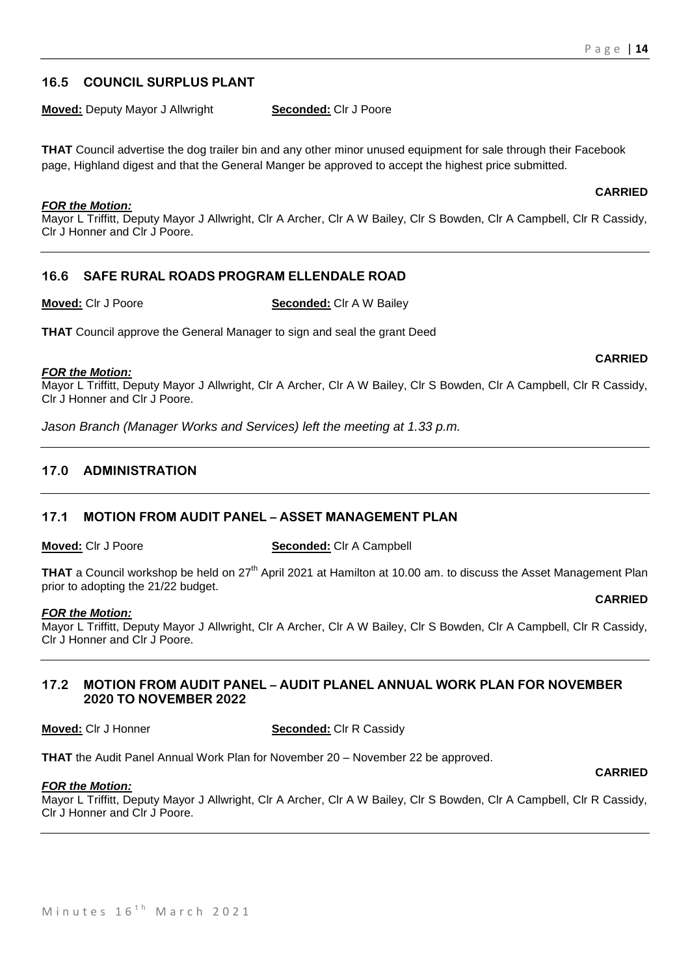# **16.5 COUNCIL SURPLUS PLANT**

**Moved:** Deputy Mayor J Allwright **Seconded:** Clr J Poore

**THAT** Council advertise the dog trailer bin and any other minor unused equipment for sale through their Facebook page, Highland digest and that the General Manger be approved to accept the highest price submitted.

#### *FOR the Motion:*

Mayor L Triffitt, Deputy Mayor J Allwright, Clr A Archer, Clr A W Bailey, Clr S Bowden, Clr A Campbell, Clr R Cassidy, Clr J Honner and Clr J Poore.

# **16.6 SAFE RURAL ROADS PROGRAM ELLENDALE ROAD**

**Moved:** Clr J Poore **Seconded:** Clr A W Bailey

**THAT** Council approve the General Manager to sign and seal the grant Deed

#### *FOR the Motion:*

Mayor L Triffitt, Deputy Mayor J Allwright, Clr A Archer, Clr A W Bailey, Clr S Bowden, Clr A Campbell, Clr R Cassidy, Clr J Honner and Clr J Poore.

*Jason Branch (Manager Works and Services) left the meeting at 1.33 p.m.*

# **17.0 ADMINISTRATION**

# **17.1 MOTION FROM AUDIT PANEL – ASSET MANAGEMENT PLAN**

**Moved:** Clr J Poore **Seconded:** Clr A Campbell

**THAT** a Council workshop be held on 27<sup>th</sup> April 2021 at Hamilton at 10.00 am. to discuss the Asset Management Plan prior to adopting the 21/22 budget.

#### *FOR the Motion:*

Mayor L Triffitt, Deputy Mayor J Allwright, Clr A Archer, Clr A W Bailey, Clr S Bowden, Clr A Campbell, Clr R Cassidy, Clr J Honner and Clr J Poore.

# **17.2 MOTION FROM AUDIT PANEL – AUDIT PLANEL ANNUAL WORK PLAN FOR NOVEMBER 2020 TO NOVEMBER 2022**

**Moved:** Clr J Honner **Seconded:** Clr R Cassidy

**THAT** the Audit Panel Annual Work Plan for November 20 – November 22 be approved.

#### *FOR the Motion:*

Mayor L Triffitt, Deputy Mayor J Allwright, Clr A Archer, Clr A W Bailey, Clr S Bowden, Clr A Campbell, Clr R Cassidy, Clr J Honner and Clr J Poore.

**CARRIED**

**CARRIED**

# **CARRIED**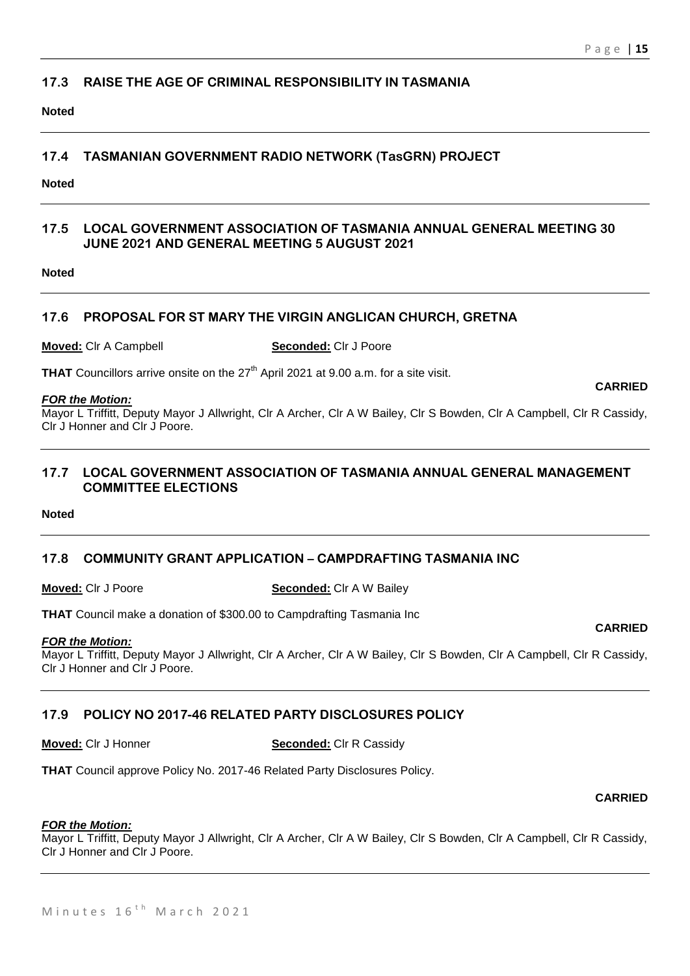# **17.3 RAISE THE AGE OF CRIMINAL RESPONSIBILITY IN TASMANIA**

**Noted**

# **17.4 TASMANIAN GOVERNMENT RADIO NETWORK (TasGRN) PROJECT**

**Noted**

# **17.5 LOCAL GOVERNMENT ASSOCIATION OF TASMANIA ANNUAL GENERAL MEETING 30 JUNE 2021 AND GENERAL MEETING 5 AUGUST 2021**

**Noted**

# **17.6 PROPOSAL FOR ST MARY THE VIRGIN ANGLICAN CHURCH, GRETNA**

**Moved:** Clr A Campbell **Seconded:** Clr J Poore

**THAT** Councillors arrive onsite on the 27<sup>th</sup> April 2021 at 9.00 a.m. for a site visit.

#### *FOR the Motion:*

Mayor L Triffitt, Deputy Mayor J Allwright, Clr A Archer, Clr A W Bailey, Clr S Bowden, Clr A Campbell, Clr R Cassidy, Clr J Honner and Clr J Poore.

# **17.7 LOCAL GOVERNMENT ASSOCIATION OF TASMANIA ANNUAL GENERAL MANAGEMENT COMMITTEE ELECTIONS**

**Noted**

# **17.8 COMMUNITY GRANT APPLICATION – CAMPDRAFTING TASMANIA INC**

**Moved:** Clr J Poore **Seconded:** Clr A W Bailey

**THAT** Council make a donation of \$300.00 to Campdrafting Tasmania Inc

# *FOR the Motion:*

Mayor L Triffitt, Deputy Mayor J Allwright, Clr A Archer, Clr A W Bailey, Clr S Bowden, Clr A Campbell, Clr R Cassidy, Clr J Honner and Clr J Poore.

# **17.9 POLICY NO 2017-46 RELATED PARTY DISCLOSURES POLICY**

**THAT** Council approve Policy No. 2017-46 Related Party Disclosures Policy.

# **CARRIED**

# *FOR the Motion:*

Mayor L Triffitt, Deputy Mayor J Allwright, Clr A Archer, Clr A W Bailey, Clr S Bowden, Clr A Campbell, Clr R Cassidy, Clr J Honner and Clr J Poore.

**Moved:** Clr J Honner **Seconded:** Clr R Cassidy

**CARRIED**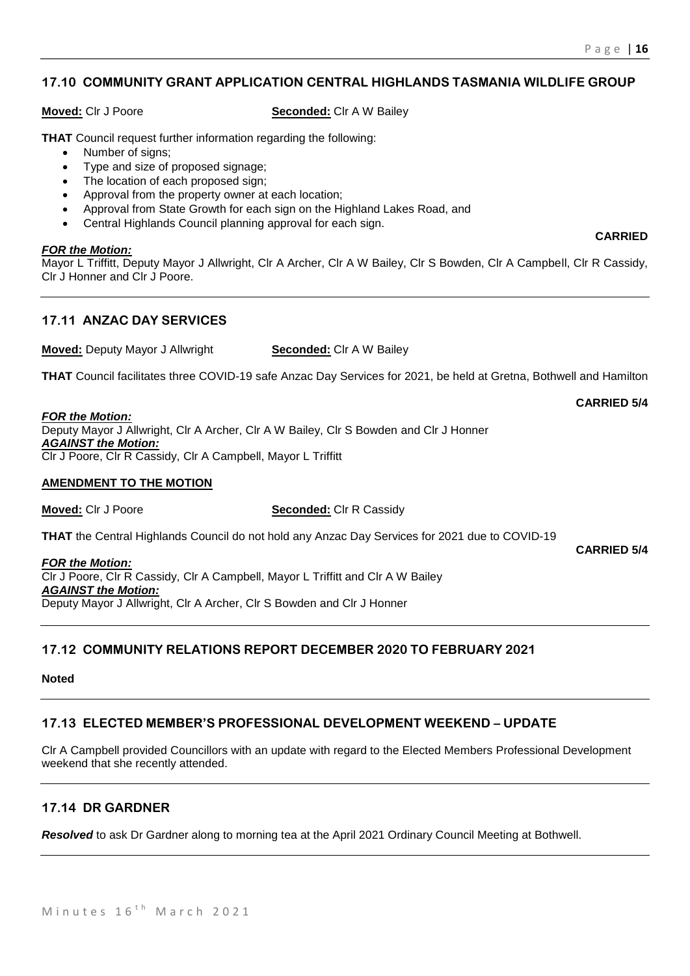# **17.10 COMMUNITY GRANT APPLICATION CENTRAL HIGHLANDS TASMANIA WILDLIFE GROUP**

**Moved:** Clr J Poore **Seconded:** Clr A W Bailey

**THAT** Council request further information regarding the following:

- Number of signs:
- Type and size of proposed signage;
- The location of each proposed sign;
- Approval from the property owner at each location;
- Approval from State Growth for each sign on the Highland Lakes Road, and
- Central Highlands Council planning approval for each sign.

#### *FOR the Motion:*

Mayor L Triffitt, Deputy Mayor J Allwright, Clr A Archer, Clr A W Bailey, Clr S Bowden, Clr A Campbell, Clr R Cassidy, Clr J Honner and Clr J Poore.

# **17.11 ANZAC DAY SERVICES**

**Moved:** Deputy Mayor J Allwright **Seconded:** Clr A W Bailey

**THAT** Council facilitates three COVID-19 safe Anzac Day Services for 2021, be held at Gretna, Bothwell and Hamilton

#### *FOR the Motion:*

Deputy Mayor J Allwright, Clr A Archer, Clr A W Bailey, Clr S Bowden and Clr J Honner *AGAINST the Motion:* Clr J Poore, Clr R Cassidy, Clr A Campbell, Mayor L Triffitt

#### **AMENDMENT TO THE MOTION**

**Moved:** Clr J Poore **Seconded:** Clr R Cassidy

**THAT** the Central Highlands Council do not hold any Anzac Day Services for 2021 due to COVID-19

**CARRIED 5/4**

**CARRIED 5/4**

*FOR the Motion:* Clr J Poore, Clr R Cassidy, Clr A Campbell, Mayor L Triffitt and Clr A W Bailey *AGAINST the Motion:* Deputy Mayor J Allwright, Clr A Archer, Clr S Bowden and Clr J Honner

# **17.12 COMMUNITY RELATIONS REPORT DECEMBER 2020 TO FEBRUARY 2021**

#### **Noted**

# **17.13 ELECTED MEMBER'S PROFESSIONAL DEVELOPMENT WEEKEND – UPDATE**

Clr A Campbell provided Councillors with an update with regard to the Elected Members Professional Development weekend that she recently attended.

# **17.14 DR GARDNER**

*Resolved* to ask Dr Gardner along to morning tea at the April 2021 Ordinary Council Meeting at Bothwell.